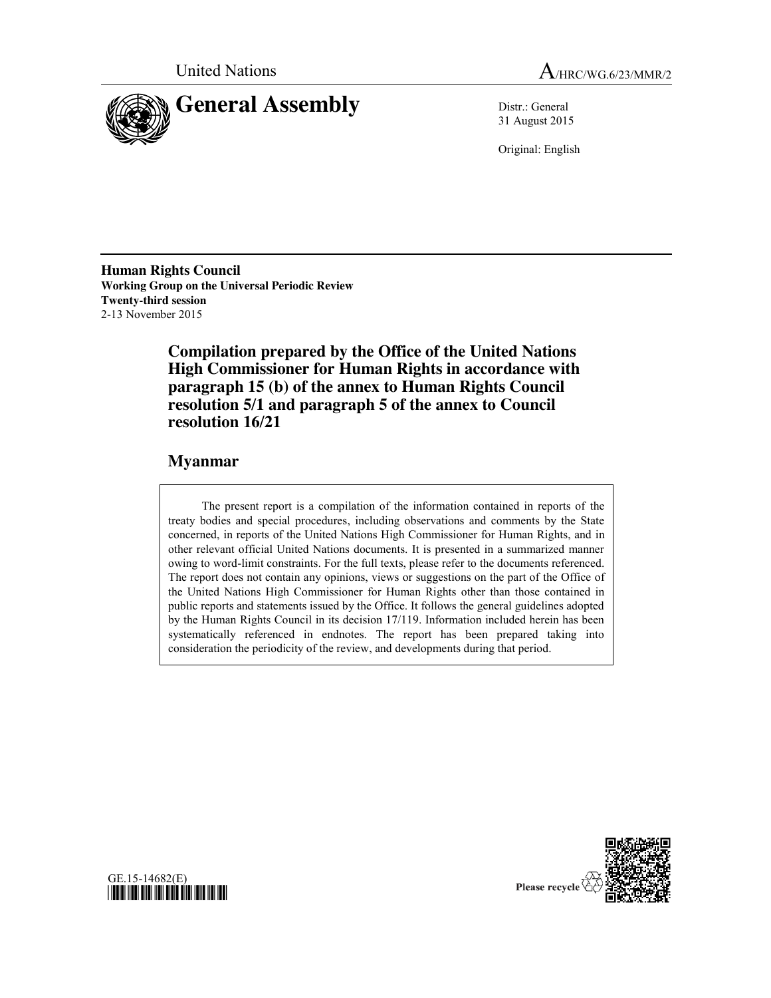



31 August 2015

Original: English

**Human Rights Council Working Group on the Universal Periodic Review Twenty-third session** 2-13 November 2015

> **Compilation prepared by the Office of the United Nations High Commissioner for Human Rights in accordance with paragraph 15 (b) of the annex to Human Rights Council resolution 5/1 and paragraph 5 of the annex to Council resolution 16/21**

# **Myanmar**

The present report is a compilation of the information contained in reports of the treaty bodies and special procedures, including observations and comments by the State concerned, in reports of the United Nations High Commissioner for Human Rights, and in other relevant official United Nations documents. It is presented in a summarized manner owing to word-limit constraints. For the full texts, please refer to the documents referenced. The report does not contain any opinions, views or suggestions on the part of the Office of the United Nations High Commissioner for Human Rights other than those contained in public reports and statements issued by the Office. It follows the general guidelines adopted by the Human Rights Council in its decision 17/119. Information included herein has been systematically referenced in endnotes. The report has been prepared taking into consideration the periodicity of the review, and developments during that period.



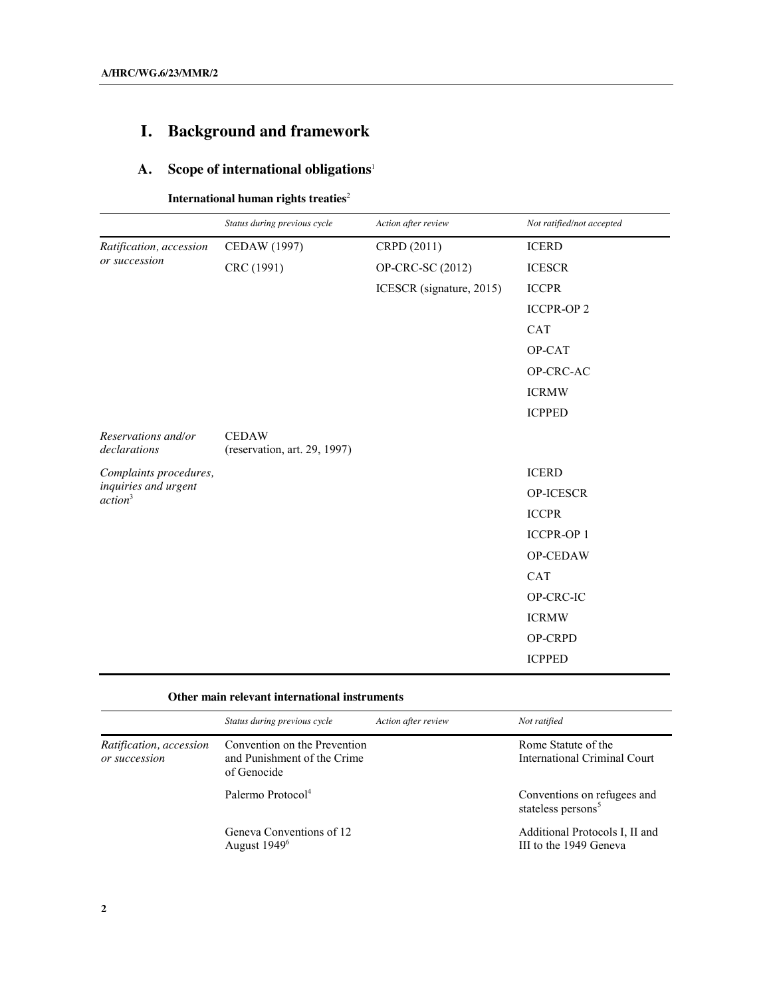# **I. Background and framework**

# **A. Scope of international obligations**<sup>1</sup>

**International human rights treaties**<sup>2</sup>

|                                                                       | Status during previous cycle                 | Action after review      | Not ratified/not accepted |
|-----------------------------------------------------------------------|----------------------------------------------|--------------------------|---------------------------|
| Ratification, accession                                               | CEDAW (1997)                                 | CRPD (2011)              | <b>ICERD</b>              |
| or succession                                                         | CRC (1991)                                   | OP-CRC-SC (2012)         | <b>ICESCR</b>             |
|                                                                       |                                              | ICESCR (signature, 2015) | <b>ICCPR</b>              |
|                                                                       |                                              |                          | <b>ICCPR-OP 2</b>         |
|                                                                       |                                              |                          | <b>CAT</b>                |
|                                                                       |                                              |                          | OP-CAT                    |
|                                                                       |                                              |                          | OP-CRC-AC                 |
|                                                                       |                                              |                          | <b>ICRMW</b>              |
|                                                                       |                                              |                          | <b>ICPPED</b>             |
| Reservations and/or<br>declarations                                   | <b>CEDAW</b><br>(reservation, art. 29, 1997) |                          |                           |
| Complaints procedures,<br>inquiries and urgent<br>action <sup>3</sup> |                                              |                          | <b>ICERD</b>              |
|                                                                       |                                              |                          | OP-ICESCR                 |
|                                                                       |                                              |                          | <b>ICCPR</b>              |
|                                                                       |                                              |                          | <b>ICCPR-OP 1</b>         |
|                                                                       |                                              |                          | OP-CEDAW                  |
|                                                                       |                                              |                          | CAT                       |
|                                                                       |                                              |                          | OP-CRC-IC                 |
|                                                                       |                                              |                          | <b>ICRMW</b>              |
|                                                                       |                                              |                          | OP-CRPD                   |
|                                                                       |                                              |                          | <b>ICPPED</b>             |

### **Other main relevant international instruments**

| Status during previous cycle                                               | Action after review | Not ratified                                                  |
|----------------------------------------------------------------------------|---------------------|---------------------------------------------------------------|
| Convention on the Prevention<br>and Punishment of the Crime<br>of Genocide |                     | Rome Statute of the<br><b>International Criminal Court</b>    |
| Palermo Protocol <sup>4</sup>                                              |                     | Conventions on refugees and<br>stateless persons <sup>5</sup> |
| Geneva Conventions of 12<br>August 1949 <sup>6</sup>                       |                     | Additional Protocols I, II and<br>III to the 1949 Geneva      |
|                                                                            |                     |                                                               |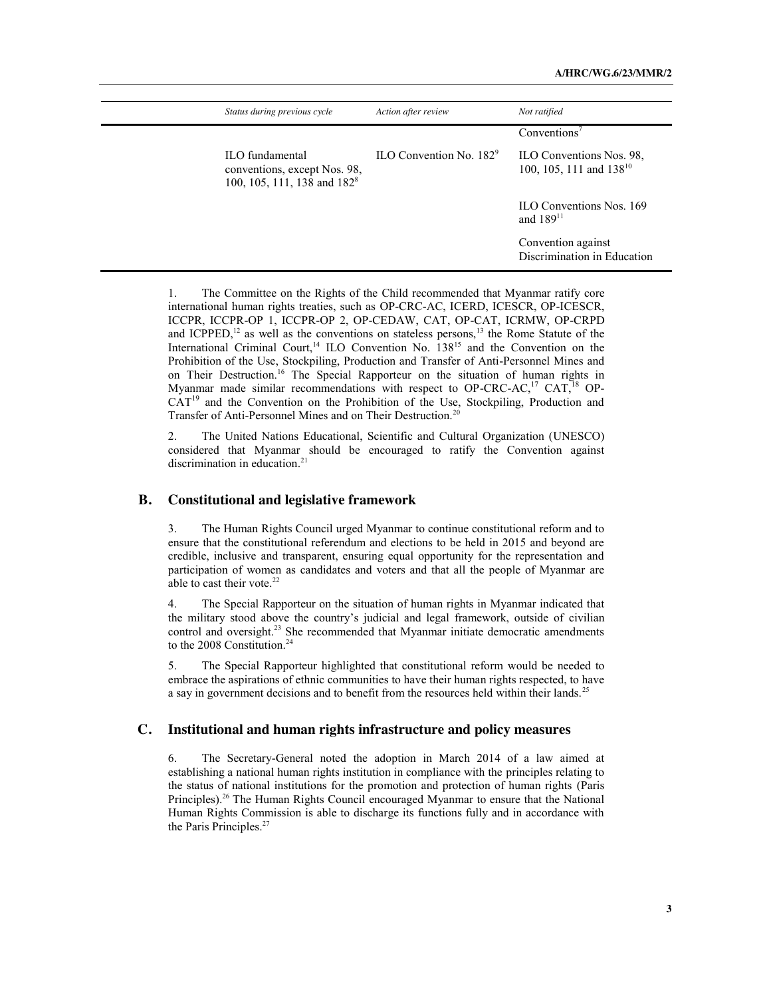| Status during previous cycle                                                               | Action after review                        | Not ratified                                             |
|--------------------------------------------------------------------------------------------|--------------------------------------------|----------------------------------------------------------|
|                                                                                            |                                            | Conventions <sup>7</sup>                                 |
| ILO fundamental<br>conventions, except Nos. 98,<br>100, 105, 111, 138 and 182 <sup>8</sup> | $\text{ILO}$ Convention No. 182 $\text{°}$ | ILO Conventions Nos. 98,<br>100, 105, 111 and $138^{10}$ |
|                                                                                            |                                            | <b>ILO Conventions Nos. 169</b><br>and $189^{11}$        |
|                                                                                            |                                            | Convention against<br>Discrimination in Education        |

1. The Committee on the Rights of the Child recommended that Myanmar ratify core international human rights treaties, such as OP-CRC-AC, ICERD, ICESCR, OP-ICESCR, ICCPR, ICCPR-OP 1, ICCPR-OP 2, OP-CEDAW, CAT, OP-CAT, ICRMW, OP-CRPD and ICPPED,<sup>12</sup> as well as the conventions on stateless persons,<sup>13</sup> the Rome Statute of the International Criminal Court,<sup>14</sup> ILO Convention No. 138<sup>15</sup> and the Convention on the Prohibition of the Use, Stockpiling, Production and Transfer of Anti-Personnel Mines and on Their Destruction.16 The Special Rapporteur on the situation of human rights in Myanmar made similar recommendations with respect to OP-CRC-AC,<sup>17</sup> CAT,<sup>18</sup> OP-CAT<sup>19</sup> and the Convention on the Prohibition of the Use, Stockpiling, Production and Transfer of Anti-Personnel Mines and on Their Destruction.<sup>20</sup>

2. The United Nations Educational, Scientific and Cultural Organization (UNESCO) considered that Myanmar should be encouraged to ratify the Convention against discrimination in education. 21

#### **B. Constitutional and legislative framework**

3. The Human Rights Council urged Myanmar to continue constitutional reform and to ensure that the constitutional referendum and elections to be held in 2015 and beyond are credible, inclusive and transparent, ensuring equal opportunity for the representation and participation of women as candidates and voters and that all the people of Myanmar are able to cast their vote.<sup>22</sup>

4. The Special Rapporteur on the situation of human rights in Myanmar indicated that the military stood above the country's judicial and legal framework, outside of civilian control and oversight.<sup>23</sup> She recommended that Myanmar initiate democratic amendments to the 2008 Constitution.<sup>24</sup>

5. The Special Rapporteur highlighted that constitutional reform would be needed to embrace the aspirations of ethnic communities to have their human rights respected, to have a say in government decisions and to benefit from the resources held within their lands.<sup>25</sup>

#### **C. Institutional and human rights infrastructure and policy measures**

6. The Secretary-General noted the adoption in March 2014 of a law aimed at establishing a national human rights institution in compliance with the principles relating to the status of national institutions for the promotion and protection of human rights (Paris Principles).<sup>26</sup> The Human Rights Council encouraged Myanmar to ensure that the National Human Rights Commission is able to discharge its functions fully and in accordance with the Paris Principles.<sup>27</sup>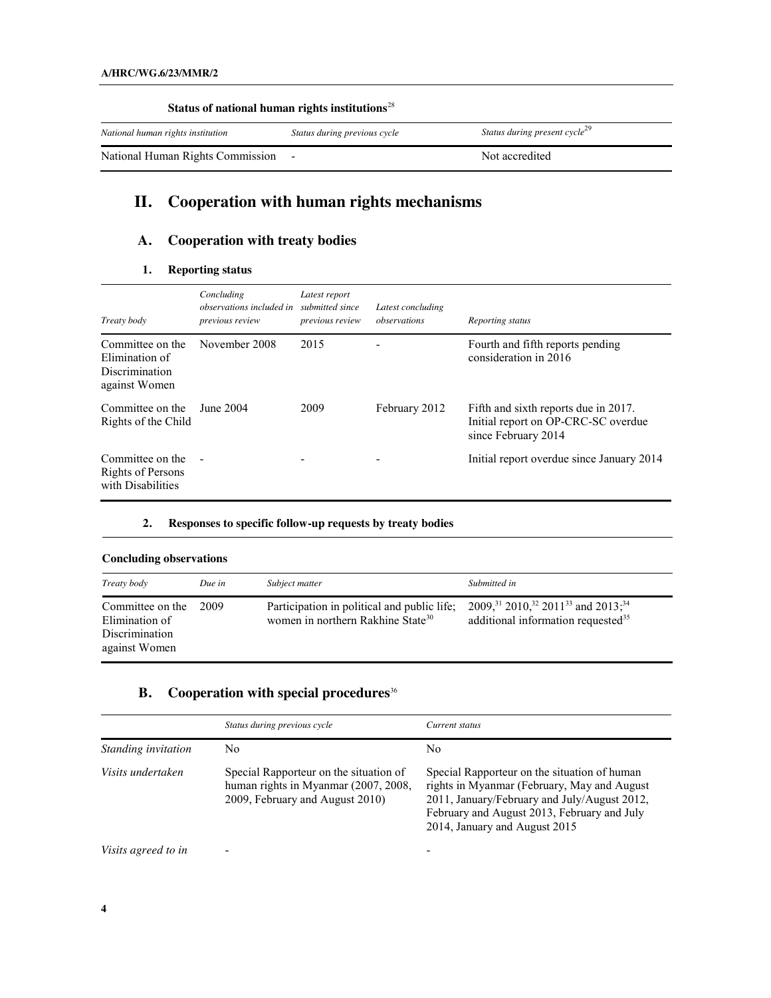| Status of national human rights institutions <sup>28</sup> |                              |                                           |  |
|------------------------------------------------------------|------------------------------|-------------------------------------------|--|
| National human rights institution                          | Status during previous cycle | Status during present cycle <sup>29</sup> |  |
| National Human Rights Commission                           |                              | Not accredited                            |  |

# **II. Cooperation with human rights mechanisms**

# **A. Cooperation with treaty bodies**

### **1. Reporting status**

| Treaty body                                                                  | Concluding<br><i>observations included in</i><br>previous review | Latest report<br>submitted since<br>previous review | Latest concluding<br>observations | Reporting status                                                                                   |
|------------------------------------------------------------------------------|------------------------------------------------------------------|-----------------------------------------------------|-----------------------------------|----------------------------------------------------------------------------------------------------|
| Committee on the<br>Elimination of<br><b>Discrimination</b><br>against Women | November 2008                                                    | 2015                                                |                                   | Fourth and fifth reports pending<br>consideration in 2016                                          |
| Committee on the<br>Rights of the Child                                      | June 2004                                                        | 2009                                                | February 2012                     | Fifth and sixth reports due in 2017.<br>Initial report on OP-CRC-SC overdue<br>since February 2014 |
| Committee on the<br>Rights of Persons<br>with Disabilities                   | $\blacksquare$                                                   |                                                     |                                   | Initial report overdue since January 2014                                                          |

#### **2. Responses to specific follow-up requests by treaty bodies**

| Treaty body                                                           | Due in | Subject matter                                                                               | Submitted in                                                                                                                         |
|-----------------------------------------------------------------------|--------|----------------------------------------------------------------------------------------------|--------------------------------------------------------------------------------------------------------------------------------------|
| Committee on the<br>Elimination of<br>Discrimination<br>against Women | 2009   | Participation in political and public life;<br>women in northern Rakhine State <sup>30</sup> | 2009, <sup>31</sup> 2010, <sup>32</sup> 2011 <sup>33</sup> and 2013; <sup>34</sup><br>additional information requested <sup>35</sup> |

# **B. Cooperation with special procedures**<sup>36</sup>

|                                                                                                                                        | Status during previous cycle | Current status                                                                                                                                                                                                              |
|----------------------------------------------------------------------------------------------------------------------------------------|------------------------------|-----------------------------------------------------------------------------------------------------------------------------------------------------------------------------------------------------------------------------|
| Standing invitation                                                                                                                    | No                           | No                                                                                                                                                                                                                          |
| Visits undertaken<br>Special Rapporteur on the situation of<br>human rights in Myanmar (2007, 2008,<br>2009, February and August 2010) |                              | Special Rapporteur on the situation of human<br>rights in Myanmar (February, May and August<br>2011, January/February and July/August 2012,<br>February and August 2013, February and July<br>2014, January and August 2015 |
| Visits agreed to in                                                                                                                    | ٠                            |                                                                                                                                                                                                                             |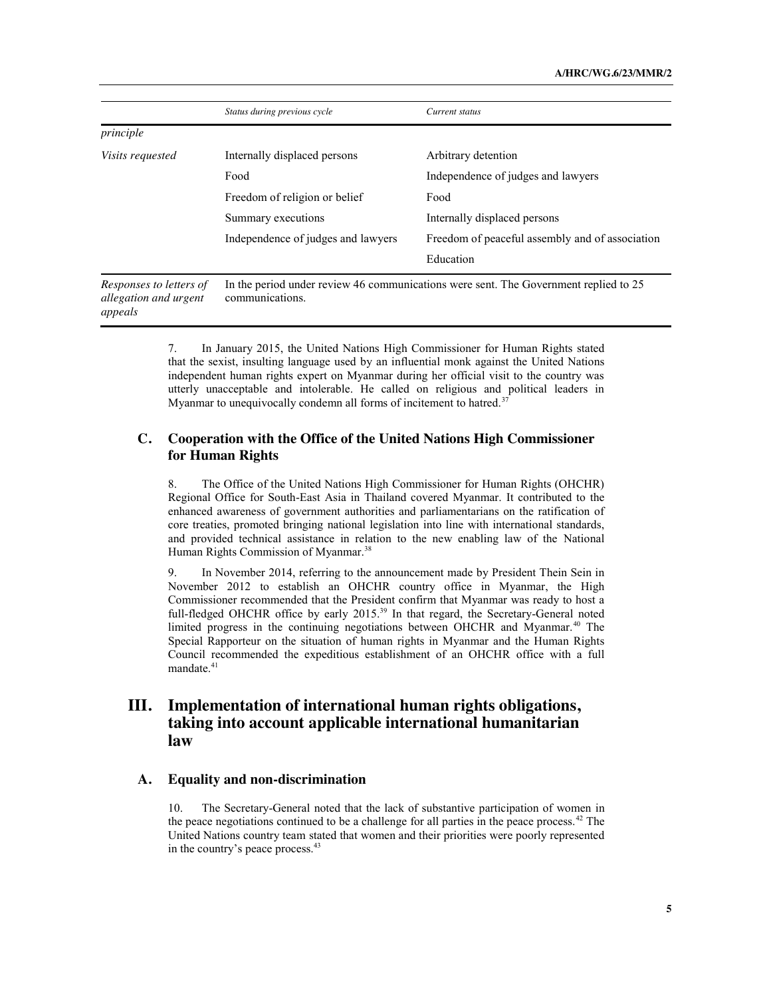|                                                             | Status during previous cycle                                                                            | Current status                                  |
|-------------------------------------------------------------|---------------------------------------------------------------------------------------------------------|-------------------------------------------------|
| principle                                                   |                                                                                                         |                                                 |
| <i>Visits requested</i>                                     | Internally displaced persons                                                                            | Arbitrary detention                             |
|                                                             | Food                                                                                                    | Independence of judges and lawyers              |
|                                                             | Freedom of religion or belief                                                                           | Food                                            |
|                                                             | Summary executions                                                                                      | Internally displaced persons                    |
|                                                             | Independence of judges and lawyers                                                                      | Freedom of peaceful assembly and of association |
|                                                             |                                                                                                         | Education                                       |
| Responses to letters of<br>allegation and urgent<br>appeals | In the period under review 46 communications were sent. The Government replied to 25<br>communications. |                                                 |

7. In January 2015, the United Nations High Commissioner for Human Rights stated that the sexist, insulting language used by an influential monk against the United Nations independent human rights expert on Myanmar during her official visit to the country was utterly unacceptable and intolerable. He called on religious and political leaders in Myanmar to unequivocally condemn all forms of incitement to hatred.<sup>37</sup>

### **C. Cooperation with the Office of the United Nations High Commissioner for Human Rights**

8. The Office of the United Nations High Commissioner for Human Rights (OHCHR) Regional Office for South-East Asia in Thailand covered Myanmar. It contributed to the enhanced awareness of government authorities and parliamentarians on the ratification of core treaties, promoted bringing national legislation into line with international standards, and provided technical assistance in relation to the new enabling law of the National Human Rights Commission of Myanmar.<sup>38</sup>

9. In November 2014, referring to the announcement made by President Thein Sein in November 2012 to establish an OHCHR country office in Myanmar, the High Commissioner recommended that the President confirm that Myanmar was ready to host a full-fledged OHCHR office by early 2015.<sup>39</sup> In that regard, the Secretary-General noted limited progress in the continuing negotiations between OHCHR and Myanmar.<sup>40</sup> The Special Rapporteur on the situation of human rights in Myanmar and the Human Rights Council recommended the expeditious establishment of an OHCHR office with a full mandate.<sup>41</sup>

# **III. Implementation of international human rights obligations, taking into account applicable international humanitarian law**

## **A. Equality and non-discrimination**

10. The Secretary-General noted that the lack of substantive participation of women in the peace negotiations continued to be a challenge for all parties in the peace process.<sup>42</sup> The United Nations country team stated that women and their priorities were poorly represented in the country's peace process.43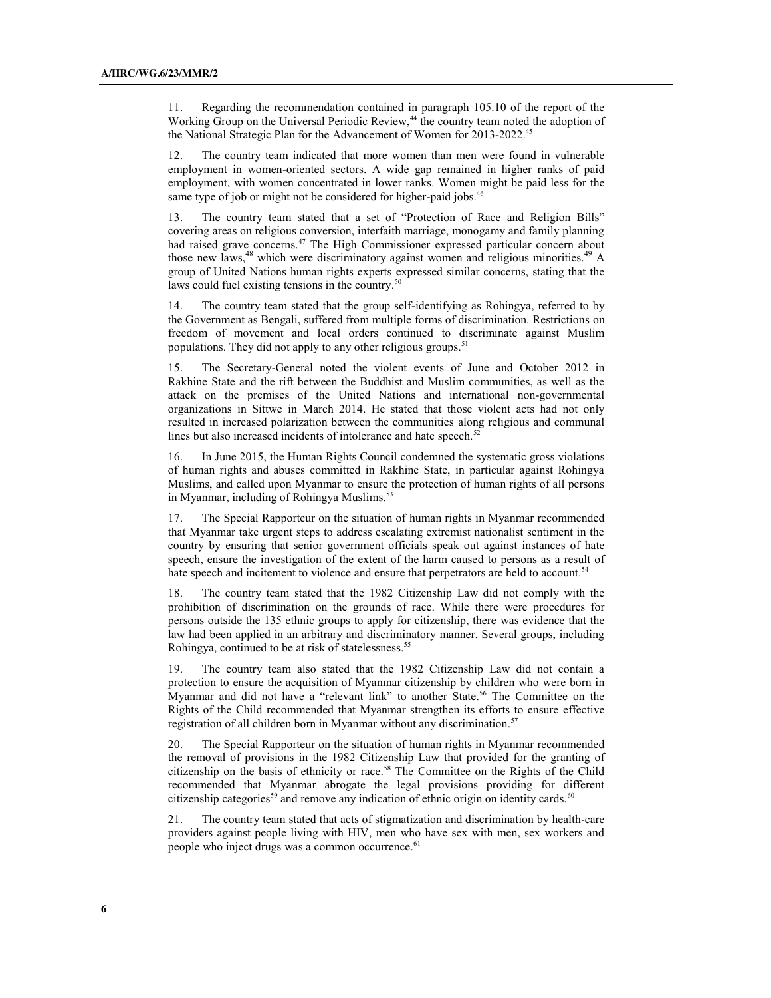11. Regarding the recommendation contained in paragraph 105.10 of the report of the Working Group on the Universal Periodic Review,<sup>44</sup> the country team noted the adoption of the National Strategic Plan for the Advancement of Women for 2013-2022.<sup>45</sup>

12. The country team indicated that more women than men were found in vulnerable employment in women-oriented sectors. A wide gap remained in higher ranks of paid employment, with women concentrated in lower ranks. Women might be paid less for the same type of job or might not be considered for higher-paid jobs.<sup>46</sup>

13. The country team stated that a set of "Protection of Race and Religion Bills" covering areas on religious conversion, interfaith marriage, monogamy and family planning had raised grave concerns.<sup>47</sup> The High Commissioner expressed particular concern about those new laws, <sup>48</sup> which were discriminatory against women and religious minorities. <sup>49</sup> A group of United Nations human rights experts expressed similar concerns, stating that the laws could fuel existing tensions in the country.<sup>50</sup>

14. The country team stated that the group self-identifying as Rohingya, referred to by the Government as Bengali, suffered from multiple forms of discrimination. Restrictions on freedom of movement and local orders continued to discriminate against Muslim populations. They did not apply to any other religious groups.<sup>51</sup>

15. The Secretary-General noted the violent events of June and October 2012 in Rakhine State and the rift between the Buddhist and Muslim communities, as well as the attack on the premises of the United Nations and international non-governmental organizations in Sittwe in March 2014. He stated that those violent acts had not only resulted in increased polarization between the communities along religious and communal lines but also increased incidents of intolerance and hate speech. $52$ 

16. In June 2015, the Human Rights Council condemned the systematic gross violations of human rights and abuses committed in Rakhine State, in particular against Rohingya Muslims, and called upon Myanmar to ensure the protection of human rights of all persons in Myanmar, including of Rohingya Muslims.<sup>53</sup>

17. The Special Rapporteur on the situation of human rights in Myanmar recommended that Myanmar take urgent steps to address escalating extremist nationalist sentiment in the country by ensuring that senior government officials speak out against instances of hate speech, ensure the investigation of the extent of the harm caused to persons as a result of hate speech and incitement to violence and ensure that perpetrators are held to account.<sup>54</sup>

18. The country team stated that the 1982 Citizenship Law did not comply with the prohibition of discrimination on the grounds of race. While there were procedures for persons outside the 135 ethnic groups to apply for citizenship, there was evidence that the law had been applied in an arbitrary and discriminatory manner. Several groups, including Rohingya, continued to be at risk of statelessness.55

19. The country team also stated that the 1982 Citizenship Law did not contain a protection to ensure the acquisition of Myanmar citizenship by children who were born in Myanmar and did not have a "relevant link" to another State. <sup>56</sup> The Committee on the Rights of the Child recommended that Myanmar strengthen its efforts to ensure effective registration of all children born in Myanmar without any discrimination.<sup>57</sup>

20. The Special Rapporteur on the situation of human rights in Myanmar recommended the removal of provisions in the 1982 Citizenship Law that provided for the granting of citizenship on the basis of ethnicity or race.<sup>58</sup> The Committee on the Rights of the Child recommended that Myanmar abrogate the legal provisions providing for different citizenship categories<sup>59</sup> and remove any indication of ethnic origin on identity cards.<sup>60</sup>

21. The country team stated that acts of stigmatization and discrimination by health-care providers against people living with HIV, men who have sex with men, sex workers and people who inject drugs was a common occurrence.<sup>61</sup>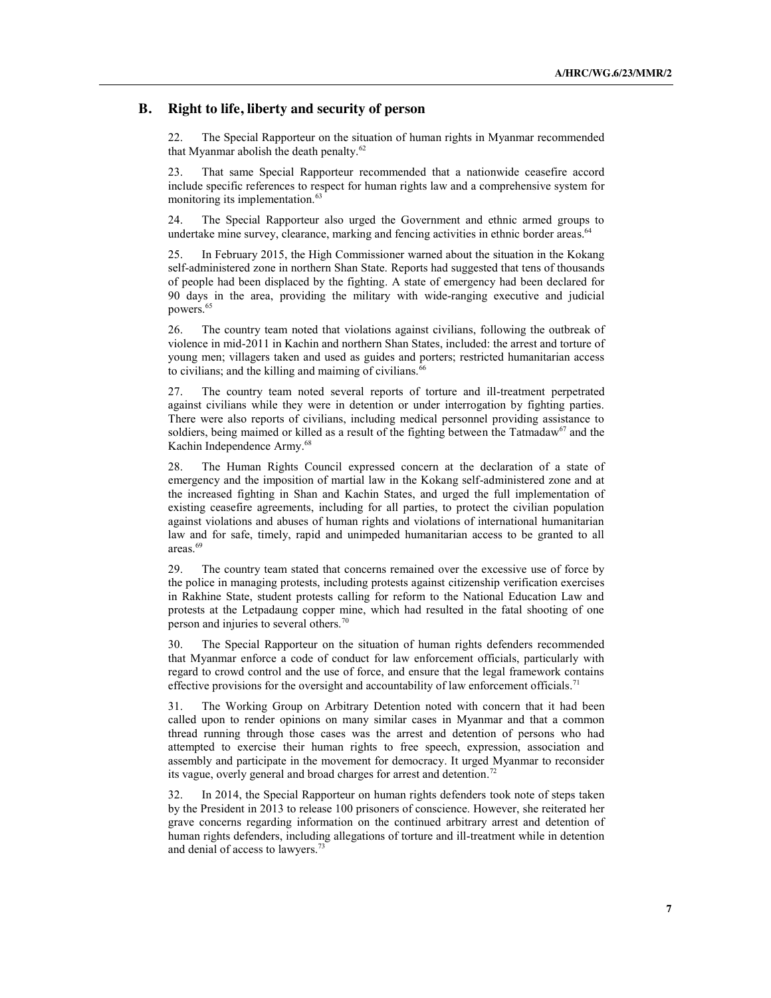#### **B. Right to life, liberty and security of person**

22. The Special Rapporteur on the situation of human rights in Myanmar recommended that Myanmar abolish the death penalty.<sup>62</sup>

23. That same Special Rapporteur recommended that a nationwide ceasefire accord include specific references to respect for human rights law and a comprehensive system for monitoring its implementation.<sup>63</sup>

24. The Special Rapporteur also urged the Government and ethnic armed groups to undertake mine survey, clearance, marking and fencing activities in ethnic border areas. $64$ 

25. In February 2015, the High Commissioner warned about the situation in the Kokang self-administered zone in northern Shan State. Reports had suggested that tens of thousands of people had been displaced by the fighting. A state of emergency had been declared for 90 days in the area, providing the military with wide-ranging executive and judicial powers.<sup>65</sup>

26. The country team noted that violations against civilians, following the outbreak of violence in mid-2011 in Kachin and northern Shan States, included: the arrest and torture of young men; villagers taken and used as guides and porters; restricted humanitarian access to civilians; and the killing and maiming of civilians. $66$ 

27. The country team noted several reports of torture and ill-treatment perpetrated against civilians while they were in detention or under interrogation by fighting parties. There were also reports of civilians, including medical personnel providing assistance to soldiers, being maimed or killed as a result of the fighting between the Tatmadaw<sup>67</sup> and the Kachin Independence Army. 68

28. The Human Rights Council expressed concern at the declaration of a state of emergency and the imposition of martial law in the Kokang self-administered zone and at the increased fighting in Shan and Kachin States, and urged the full implementation of existing ceasefire agreements, including for all parties, to protect the civilian population against violations and abuses of human rights and violations of international humanitarian law and for safe, timely, rapid and unimpeded humanitarian access to be granted to all areas.69

29. The country team stated that concerns remained over the excessive use of force by the police in managing protests, including protests against citizenship verification exercises in Rakhine State, student protests calling for reform to the National Education Law and protests at the Letpadaung copper mine, which had resulted in the fatal shooting of one person and injuries to several others.70

30. The Special Rapporteur on the situation of human rights defenders recommended that Myanmar enforce a code of conduct for law enforcement officials, particularly with regard to crowd control and the use of force, and ensure that the legal framework contains effective provisions for the oversight and accountability of law enforcement officials.<sup>71</sup>

31. The Working Group on Arbitrary Detention noted with concern that it had been called upon to render opinions on many similar cases in Myanmar and that a common thread running through those cases was the arrest and detention of persons who had attempted to exercise their human rights to free speech, expression, association and assembly and participate in the movement for democracy. It urged Myanmar to reconsider its vague, overly general and broad charges for arrest and detention.<sup>72</sup>

32. In 2014, the Special Rapporteur on human rights defenders took note of steps taken by the President in 2013 to release 100 prisoners of conscience. However, she reiterated her grave concerns regarding information on the continued arbitrary arrest and detention of human rights defenders, including allegations of torture and ill-treatment while in detention and denial of access to lawyers.<sup>73</sup>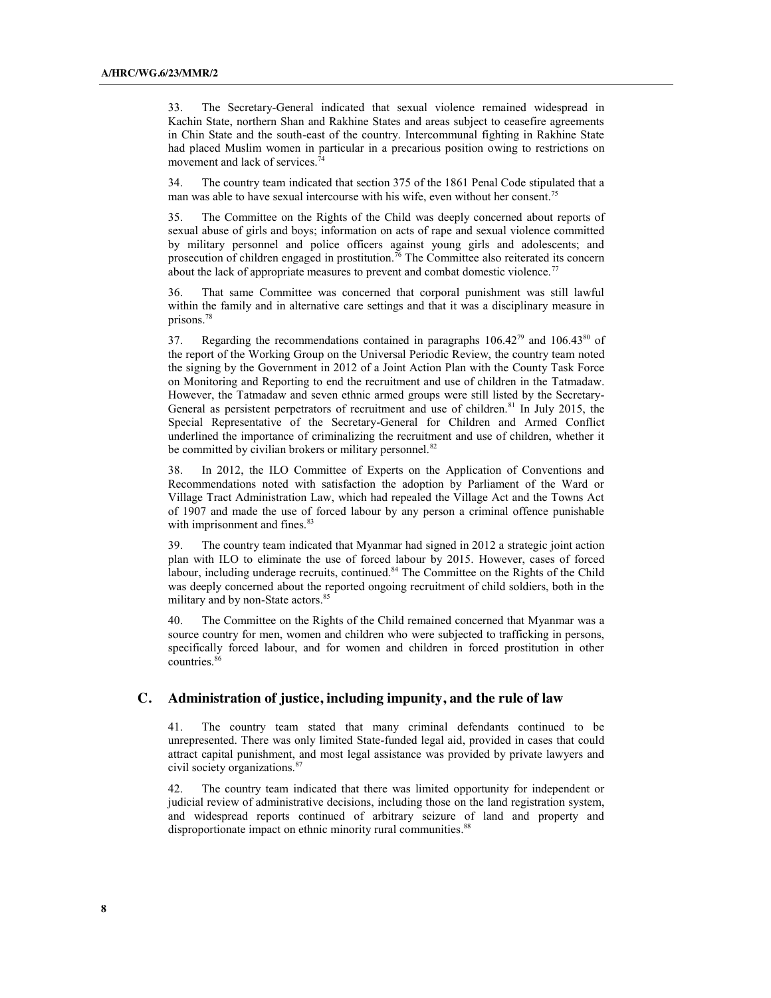33. The Secretary-General indicated that sexual violence remained widespread in Kachin State, northern Shan and Rakhine States and areas subject to ceasefire agreements in Chin State and the south-east of the country. Intercommunal fighting in Rakhine State had placed Muslim women in particular in a precarious position owing to restrictions on movement and lack of services.<sup>74</sup>

34. The country team indicated that section 375 of the 1861 Penal Code stipulated that a man was able to have sexual intercourse with his wife, even without her consent.<sup>75</sup>

35. The Committee on the Rights of the Child was deeply concerned about reports of sexual abuse of girls and boys; information on acts of rape and sexual violence committed by military personnel and police officers against young girls and adolescents; and prosecution of children engaged in prostitution.<sup>76</sup> The Committee also reiterated its concern about the lack of appropriate measures to prevent and combat domestic violence.<sup>77</sup>

36. That same Committee was concerned that corporal punishment was still lawful within the family and in alternative care settings and that it was a disciplinary measure in prisons. 78

37. Regarding the recommendations contained in paragraphs  $106.42^{79}$  and  $106.43^{80}$  of the report of the Working Group on the Universal Periodic Review, the country team noted the signing by the Government in 2012 of a Joint Action Plan with the County Task Force on Monitoring and Reporting to end the recruitment and use of children in the Tatmadaw. However, the Tatmadaw and seven ethnic armed groups were still listed by the Secretary-General as persistent perpetrators of recruitment and use of children.<sup>81</sup> In July 2015, the Special Representative of the Secretary-General for Children and Armed Conflict underlined the importance of criminalizing the recruitment and use of children, whether it be committed by civilian brokers or military personnel.<sup>82</sup>

38. In 2012, the ILO Committee of Experts on the Application of Conventions and Recommendations noted with satisfaction the adoption by Parliament of the Ward or Village Tract Administration Law, which had repealed the Village Act and the Towns Act of 1907 and made the use of forced labour by any person a criminal offence punishable with imprisonment and fines.<sup>83</sup>

39. The country team indicated that Myanmar had signed in 2012 a strategic joint action plan with ILO to eliminate the use of forced labour by 2015. However, cases of forced labour, including underage recruits, continued.<sup>84</sup> The Committee on the Rights of the Child was deeply concerned about the reported ongoing recruitment of child soldiers, both in the military and by non-State actors. 85

40. The Committee on the Rights of the Child remained concerned that Myanmar was a source country for men, women and children who were subjected to trafficking in persons, specifically forced labour, and for women and children in forced prostitution in other countries. 86

#### **C. Administration of justice, including impunity, and the rule of law**

41. The country team stated that many criminal defendants continued to be unrepresented. There was only limited State-funded legal aid, provided in cases that could attract capital punishment, and most legal assistance was provided by private lawyers and civil society organizations.87

42. The country team indicated that there was limited opportunity for independent or judicial review of administrative decisions, including those on the land registration system, and widespread reports continued of arbitrary seizure of land and property and disproportionate impact on ethnic minority rural communities.<sup>88</sup>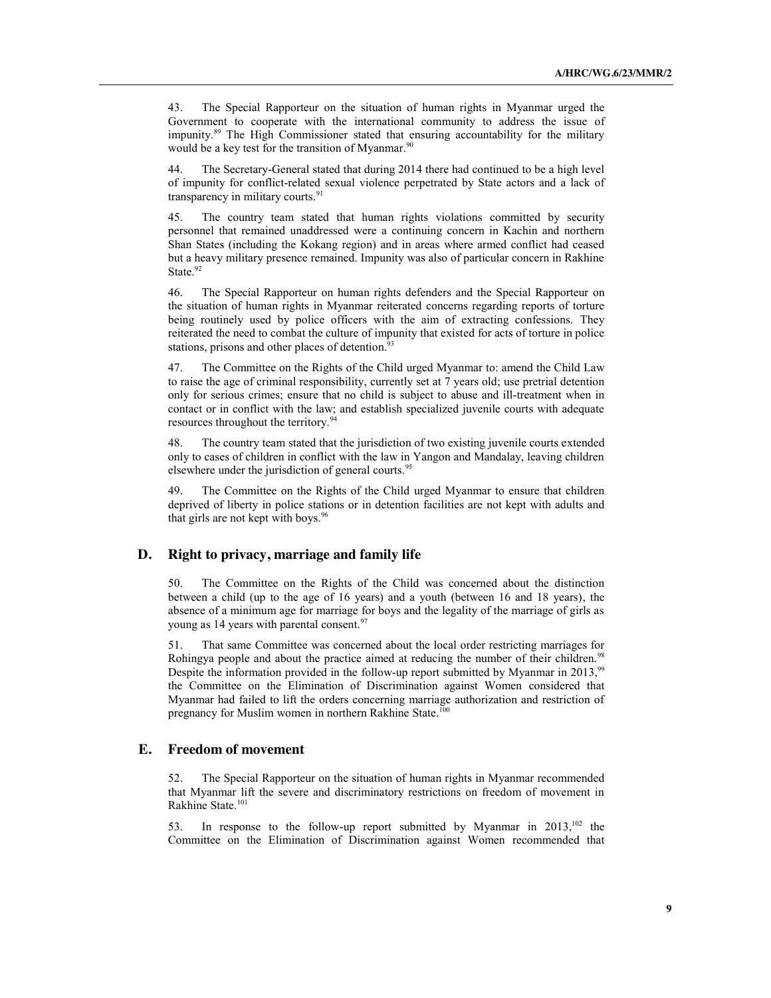43. The Special Rapporteur on the situation of human rights in Myanmar urged the Government to cooperate with the international community to address the issue of impunity.89 The High Commissioner stated that ensuring accountability for the military would be a key test for the transition of Myanmar.<sup>90</sup>

44. The Secretary-General stated that during 2014 there had continued to be a high level of impunity for conflict-related sexual violence perpetrated by State actors and a lack of transparency in military courts.<sup>91</sup>

45. The country team stated that human rights violations committed by security personnel that remained unaddressed were a continuing concern in Kachin and northern Shan States (including the Kokang region) and in areas where armed conflict had ceased but a heavy military presence remained. Impunity was also of particular concern in Rakhine State.<sup>92</sup>

46. The Special Rapporteur on human rights defenders and the Special Rapporteur on the situation of human rights in Myanmar reiterated concerns regarding reports of torture being routinely used by police officers with the aim of extracting confessions. They reiterated the need to combat the culture of impunity that existed for acts of torture in police stations, prisons and other places of detention.<sup>9</sup>

47. The Committee on the Rights of the Child urged Myanmar to: amend the Child Law to raise the age of criminal responsibility, currently set at 7 years old; use pretrial detention only for serious crimes; ensure that no child is subject to abuse and ill-treatment when in contact or in conflict with the law; and establish specialized juvenile courts with adequate resources throughout the territory.<sup>94</sup>

48. The country team stated that the jurisdiction of two existing juvenile courts extended only to cases of children in conflict with the law in Yangon and Mandalay, leaving children elsewhere under the jurisdiction of general courts.<sup>95</sup>

49. The Committee on the Rights of the Child urged Myanmar to ensure that children deprived of liberty in police stations or in detention facilities are not kept with adults and that girls are not kept with boys.<sup>96</sup>

#### **D. Right to privacy, marriage and family life**

50. The Committee on the Rights of the Child was concerned about the distinction between a child (up to the age of 16 years) and a youth (between 16 and 18 years), the absence of a minimum age for marriage for boys and the legality of the marriage of girls as young as 14 years with parental consent.<sup>97</sup>

51. That same Committee was concerned about the local order restricting marriages for Rohingya people and about the practice aimed at reducing the number of their children.<sup>98</sup> Despite the information provided in the follow-up report submitted by Myanmar in 2013,<sup>99</sup> the Committee on the Elimination of Discrimination against Women considered that Myanmar had failed to lift the orders concerning marriage authorization and restriction of pregnancy for Muslim women in northern Rakhine State.<sup>100</sup>

#### **E. Freedom of movement**

52. The Special Rapporteur on the situation of human rights in Myanmar recommended that Myanmar lift the severe and discriminatory restrictions on freedom of movement in Rakhine State.<sup>101</sup>

53. In response to the follow-up report submitted by Myanmar in  $2013$ ,<sup>102</sup>, the Committee on the Elimination of Discrimination against Women recommended that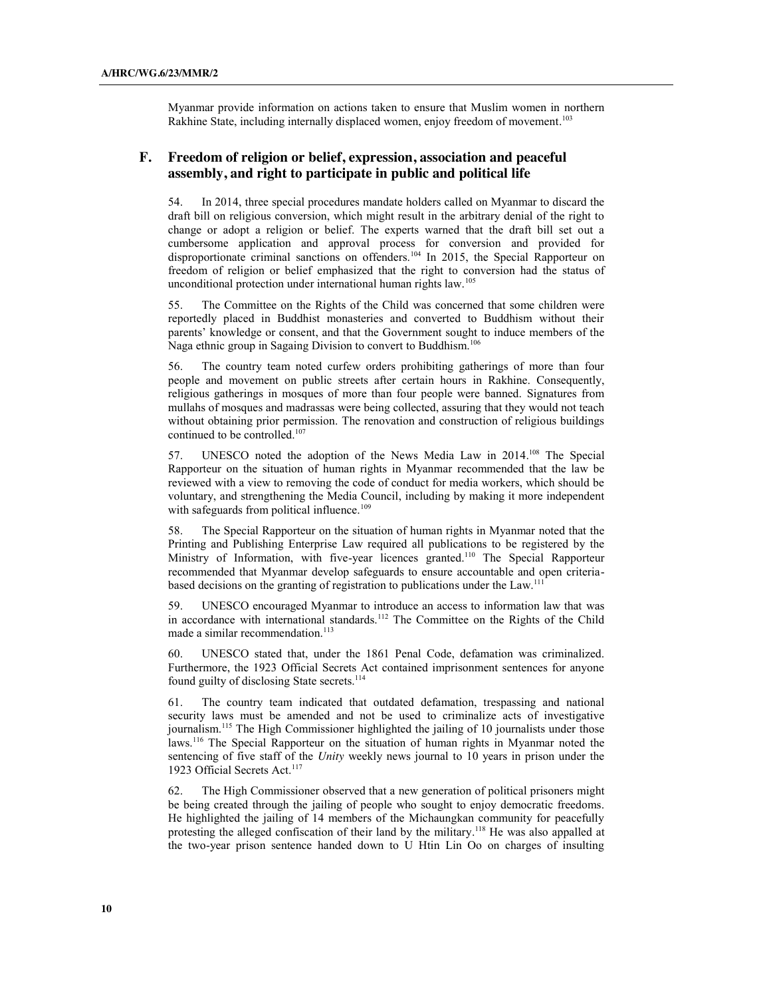Myanmar provide information on actions taken to ensure that Muslim women in northern Rakhine State, including internally displaced women, enjoy freedom of movement.<sup>103</sup>

#### **F. Freedom of religion or belief, expression, association and peaceful assembly, and right to participate in public and political life**

54. In 2014, three special procedures mandate holders called on Myanmar to discard the draft bill on religious conversion, which might result in the arbitrary denial of the right to change or adopt a religion or belief. The experts warned that the draft bill set out a cumbersome application and approval process for conversion and provided for disproportionate criminal sanctions on offenders.<sup>104</sup> In 2015, the Special Rapporteur on freedom of religion or belief emphasized that the right to conversion had the status of unconditional protection under international human rights law.105

55. The Committee on the Rights of the Child was concerned that some children were reportedly placed in Buddhist monasteries and converted to Buddhism without their parents' knowledge or consent, and that the Government sought to induce members of the Naga ethnic group in Sagaing Division to convert to Buddhism.<sup>106</sup>

56. The country team noted curfew orders prohibiting gatherings of more than four people and movement on public streets after certain hours in Rakhine. Consequently, religious gatherings in mosques of more than four people were banned. Signatures from mullahs of mosques and madrassas were being collected, assuring that they would not teach without obtaining prior permission. The renovation and construction of religious buildings continued to be controlled.<sup>107</sup>

57. UNESCO noted the adoption of the News Media Law in 2014.<sup>108</sup> The Special Rapporteur on the situation of human rights in Myanmar recommended that the law be reviewed with a view to removing the code of conduct for media workers, which should be voluntary, and strengthening the Media Council, including by making it more independent with safeguards from political influence.<sup>109</sup>

58. The Special Rapporteur on the situation of human rights in Myanmar noted that the Printing and Publishing Enterprise Law required all publications to be registered by the Ministry of Information, with five-year licences granted.<sup>110</sup> The Special Rapporteur recommended that Myanmar develop safeguards to ensure accountable and open criteriabased decisions on the granting of registration to publications under the Law.111

59. UNESCO encouraged Myanmar to introduce an access to information law that was in accordance with international standards.<sup>112</sup> The Committee on the Rights of the Child made a similar recommendation.<sup>113</sup>

60. UNESCO stated that, under the 1861 Penal Code, defamation was criminalized. Furthermore, the 1923 Official Secrets Act contained imprisonment sentences for anyone found guilty of disclosing State secrets.<sup>114</sup>

The country team indicated that outdated defamation, trespassing and national security laws must be amended and not be used to criminalize acts of investigative journalism.115 The High Commissioner highlighted the jailing of 10 journalists under those laws.116 The Special Rapporteur on the situation of human rights in Myanmar noted the sentencing of five staff of the *Unity* weekly news journal to 10 years in prison under the 1923 Official Secrets Act.<sup>117</sup>

62. The High Commissioner observed that a new generation of political prisoners might be being created through the jailing of people who sought to enjoy democratic freedoms. He highlighted the jailing of 14 members of the Michaungkan community for peacefully protesting the alleged confiscation of their land by the military.<sup>118</sup> He was also appalled at the two-year prison sentence handed down to U Htin Lin Oo on charges of insulting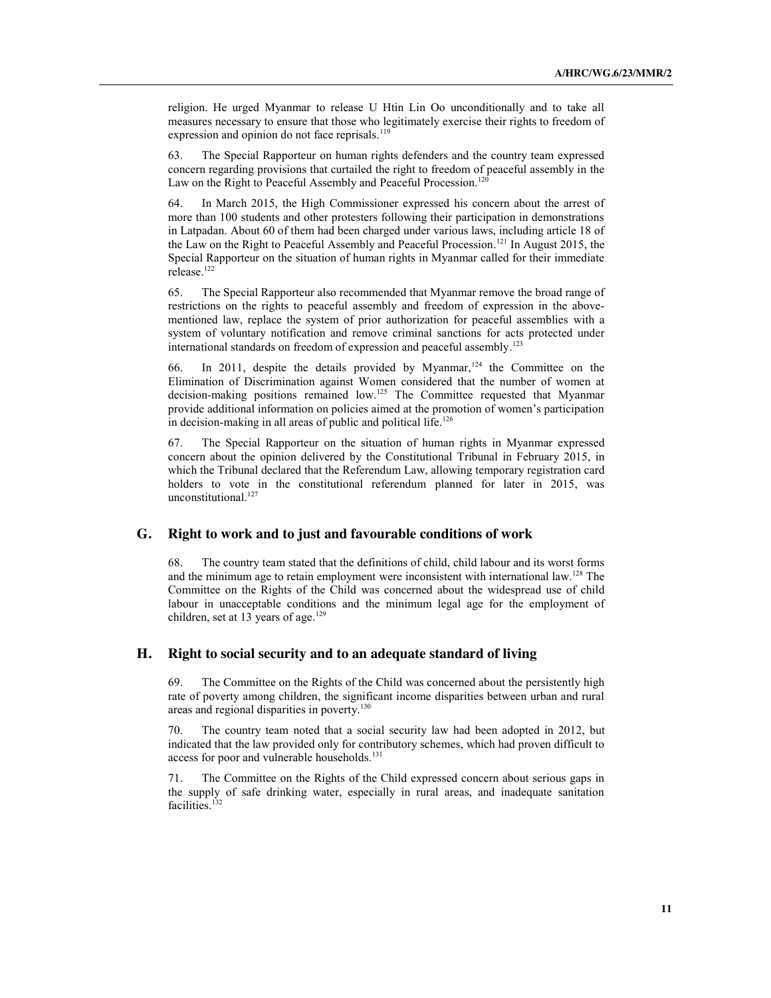religion. He urged Myanmar to release U Htin Lin Oo unconditionally and to take all measures necessary to ensure that those who legitimately exercise their rights to freedom of expression and opinion do not face reprisals.<sup>119</sup>

63. The Special Rapporteur on human rights defenders and the country team expressed concern regarding provisions that curtailed the right to freedom of peaceful assembly in the Law on the Right to Peaceful Assembly and Peaceful Procession.<sup>120</sup>

64. In March 2015, the High Commissioner expressed his concern about the arrest of more than 100 students and other protesters following their participation in demonstrations in Latpadan. About 60 of them had been charged under various laws, including article 18 of the Law on the Right to Peaceful Assembly and Peaceful Procession. <sup>121</sup> In August 2015, the Special Rapporteur on the situation of human rights in Myanmar called for their immediate release. $^{\rm 122}$ 

65. The Special Rapporteur also recommended that Myanmar remove the broad range of restrictions on the rights to peaceful assembly and freedom of expression in the abovementioned law, replace the system of prior authorization for peaceful assemblies with a system of voluntary notification and remove criminal sanctions for acts protected under international standards on freedom of expression and peaceful assembly.<sup>123</sup>

66. In 2011, despite the details provided by Myanmar,<sup>124</sup> the Committee on the Elimination of Discrimination against Women considered that the number of women at decision-making positions remained low.125 The Committee requested that Myanmar provide additional information on policies aimed at the promotion of women's participation in decision-making in all areas of public and political life.<sup>126</sup>

67. The Special Rapporteur on the situation of human rights in Myanmar expressed concern about the opinion delivered by the Constitutional Tribunal in February 2015, in which the Tribunal declared that the Referendum Law, allowing temporary registration card holders to vote in the constitutional referendum planned for later in 2015, was unconstitutional.<sup>127</sup>

#### **G. Right to work and to just and favourable conditions of work**

68. The country team stated that the definitions of child, child labour and its worst forms and the minimum age to retain employment were inconsistent with international law.<sup>128</sup> The Committee on the Rights of the Child was concerned about the widespread use of child labour in unacceptable conditions and the minimum legal age for the employment of children, set at 13 years of age.<sup>129</sup>

#### **H. Right to social security and to an adequate standard of living**

The Committee on the Rights of the Child was concerned about the persistently high rate of poverty among children, the significant income disparities between urban and rural areas and regional disparities in poverty.<sup>130</sup>

70. The country team noted that a social security law had been adopted in 2012, but indicated that the law provided only for contributory schemes, which had proven difficult to access for poor and vulnerable households.<sup>131</sup>

71. The Committee on the Rights of the Child expressed concern about serious gaps in the supply of safe drinking water, especially in rural areas, and inadequate sanitation facilities.<sup>132</sup>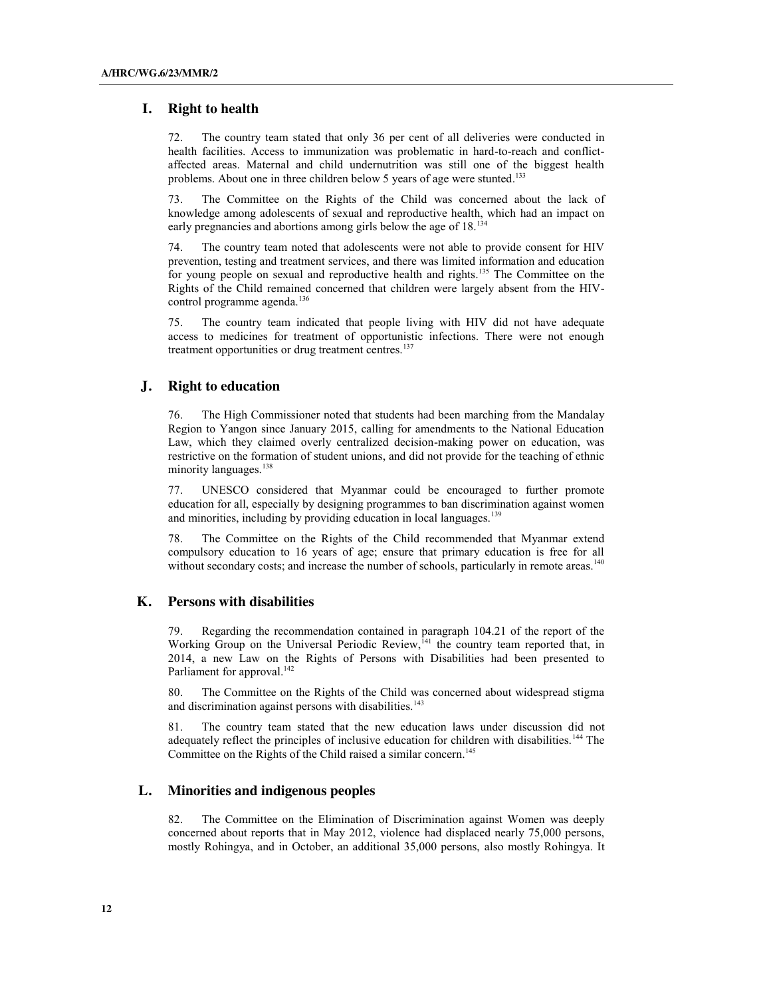#### **I. Right to health**

72. The country team stated that only 36 per cent of all deliveries were conducted in health facilities. Access to immunization was problematic in hard-to-reach and conflictaffected areas. Maternal and child undernutrition was still one of the biggest health problems. About one in three children below 5 years of age were stunted.<sup>133</sup>

73. The Committee on the Rights of the Child was concerned about the lack of knowledge among adolescents of sexual and reproductive health, which had an impact on early pregnancies and abortions among girls below the age of 18.<sup>134</sup>

74. The country team noted that adolescents were not able to provide consent for HIV prevention, testing and treatment services, and there was limited information and education for young people on sexual and reproductive health and rights.<sup>135</sup> The Committee on the Rights of the Child remained concerned that children were largely absent from the HIVcontrol programme agenda.<sup>136</sup>

75. The country team indicated that people living with HIV did not have adequate access to medicines for treatment of opportunistic infections. There were not enough treatment opportunities or drug treatment centres.<sup>137</sup>

#### **J. Right to education**

76. The High Commissioner noted that students had been marching from the Mandalay Region to Yangon since January 2015, calling for amendments to the National Education Law, which they claimed overly centralized decision-making power on education, was restrictive on the formation of student unions, and did not provide for the teaching of ethnic minority languages.<sup>138</sup>

77. UNESCO considered that Myanmar could be encouraged to further promote education for all, especially by designing programmes to ban discrimination against women and minorities, including by providing education in local languages.<sup>139</sup>

78. The Committee on the Rights of the Child recommended that Myanmar extend compulsory education to 16 years of age; ensure that primary education is free for all without secondary costs; and increase the number of schools, particularly in remote areas.<sup>140</sup>

#### **K. Persons with disabilities**

Regarding the recommendation contained in paragraph 104.21 of the report of the Working Group on the Universal Periodic Review,<sup>141</sup> the country team reported that, in 2014, a new Law on the Rights of Persons with Disabilities had been presented to Parliament for approval.<sup>142</sup>

80. The Committee on the Rights of the Child was concerned about widespread stigma and discrimination against persons with disabilities.<sup>143</sup>

81. The country team stated that the new education laws under discussion did not adequately reflect the principles of inclusive education for children with disabilities.<sup>144</sup> The Committee on the Rights of the Child raised a similar concern. 145

#### **L. Minorities and indigenous peoples**

82. The Committee on the Elimination of Discrimination against Women was deeply concerned about reports that in May 2012, violence had displaced nearly 75,000 persons, mostly Rohingya, and in October, an additional 35,000 persons, also mostly Rohingya. It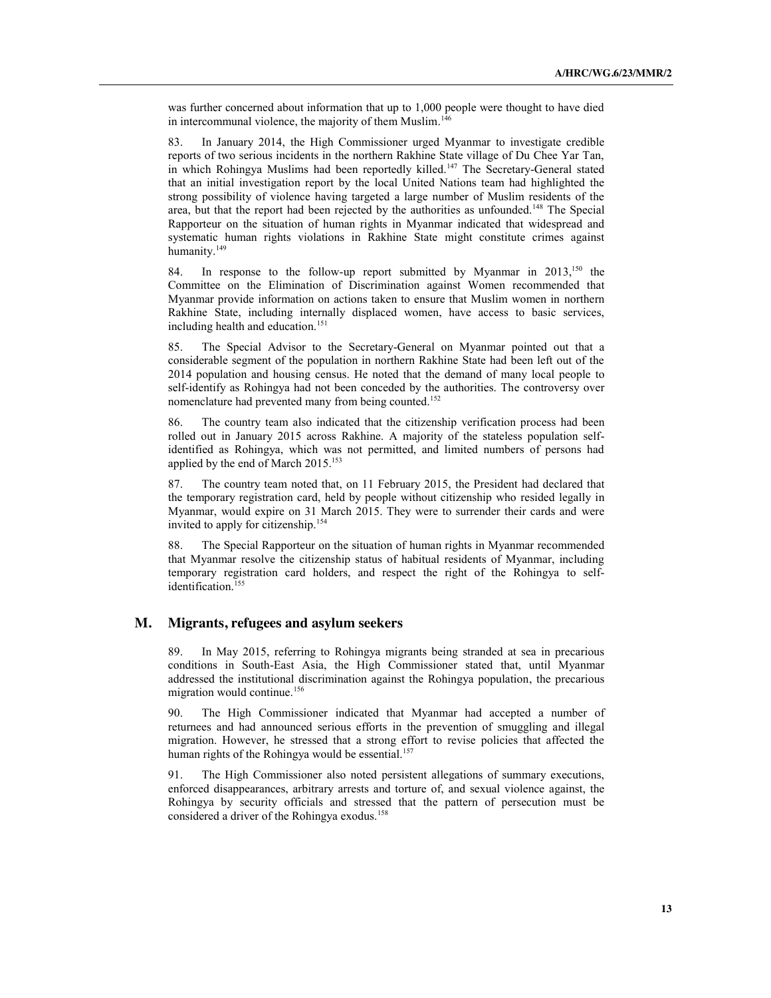was further concerned about information that up to 1,000 people were thought to have died in intercommunal violence, the majority of them Muslim. 146

83. In January 2014, the High Commissioner urged Myanmar to investigate credible reports of two serious incidents in the northern Rakhine State village of Du Chee Yar Tan, in which Rohingya Muslims had been reportedly killed.<sup>147</sup> The Secretary-General stated that an initial investigation report by the local United Nations team had highlighted the strong possibility of violence having targeted a large number of Muslim residents of the area, but that the report had been rejected by the authorities as unfounded.<sup>148</sup> The Special Rapporteur on the situation of human rights in Myanmar indicated that widespread and systematic human rights violations in Rakhine State might constitute crimes against humanity.<sup>149</sup>

84. In response to the follow-up report submitted by Myanmar in 2013,<sup>150</sup> the Committee on the Elimination of Discrimination against Women recommended that Myanmar provide information on actions taken to ensure that Muslim women in northern Rakhine State, including internally displaced women, have access to basic services, including health and education.<sup>151</sup>

85. The Special Advisor to the Secretary-General on Myanmar pointed out that a considerable segment of the population in northern Rakhine State had been left out of the 2014 population and housing census. He noted that the demand of many local people to self-identify as Rohingya had not been conceded by the authorities. The controversy over nomenclature had prevented many from being counted.<sup>152</sup>

86. The country team also indicated that the citizenship verification process had been rolled out in January 2015 across Rakhine. A majority of the stateless population selfidentified as Rohingya, which was not permitted, and limited numbers of persons had applied by the end of March  $2015$ <sup>153</sup>

87. The country team noted that, on 11 February 2015, the President had declared that the temporary registration card, held by people without citizenship who resided legally in Myanmar, would expire on 31 March 2015. They were to surrender their cards and were invited to apply for citizenship.154

88. The Special Rapporteur on the situation of human rights in Myanmar recommended that Myanmar resolve the citizenship status of habitual residents of Myanmar, including temporary registration card holders, and respect the right of the Rohingya to selfidentification. 155

#### **M. Migrants, refugees and asylum seekers**

89. In May 2015, referring to Rohingya migrants being stranded at sea in precarious conditions in South-East Asia, the High Commissioner stated that, until Myanmar addressed the institutional discrimination against the Rohingya population, the precarious migration would continue.<sup>156</sup>

90. The High Commissioner indicated that Myanmar had accepted a number of returnees and had announced serious efforts in the prevention of smuggling and illegal migration. However, he stressed that a strong effort to revise policies that affected the human rights of the Rohingya would be essential.<sup>157</sup>

91. The High Commissioner also noted persistent allegations of summary executions, enforced disappearances, arbitrary arrests and torture of, and sexual violence against, the Rohingya by security officials and stressed that the pattern of persecution must be considered a driver of the Rohingya exodus.<sup>158</sup>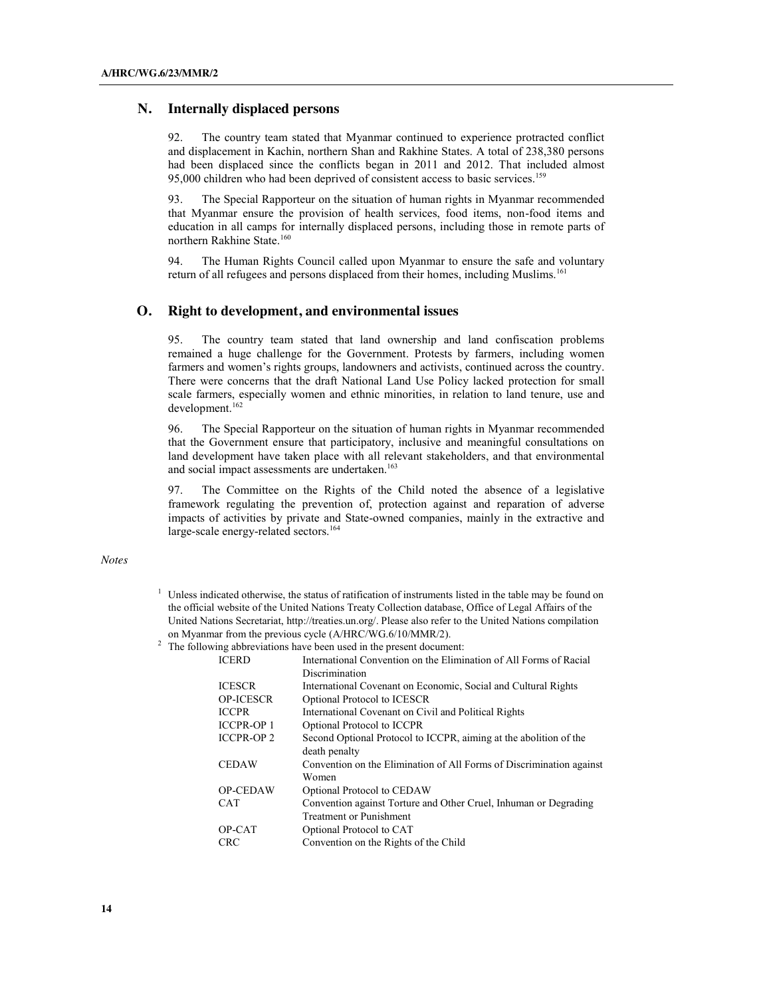#### **N. Internally displaced persons**

92. The country team stated that Myanmar continued to experience protracted conflict and displacement in Kachin, northern Shan and Rakhine States. A total of 238,380 persons had been displaced since the conflicts began in 2011 and 2012. That included almost 95,000 children who had been deprived of consistent access to basic services. 159

93. The Special Rapporteur on the situation of human rights in Myanmar recommended that Myanmar ensure the provision of health services, food items, non-food items and education in all camps for internally displaced persons, including those in remote parts of northern Rakhine State.160

94. The Human Rights Council called upon Myanmar to ensure the safe and voluntary return of all refugees and persons displaced from their homes, including Muslims.<sup>161</sup>

## **O. Right to development, and environmental issues**

95. The country team stated that land ownership and land confiscation problems remained a huge challenge for the Government. Protests by farmers, including women farmers and women's rights groups, landowners and activists, continued across the country. There were concerns that the draft National Land Use Policy lacked protection for small scale farmers, especially women and ethnic minorities, in relation to land tenure, use and development.<sup>162</sup>

96. The Special Rapporteur on the situation of human rights in Myanmar recommended that the Government ensure that participatory, inclusive and meaningful consultations on land development have taken place with all relevant stakeholders, and that environmental and social impact assessments are undertaken. 163

97. The Committee on the Rights of the Child noted the absence of a legislative framework regulating the prevention of, protection against and reparation of adverse impacts of activities by private and State-owned companies, mainly in the extractive and large-scale energy-related sectors.<sup>164</sup>

*Notes*

- <sup>1</sup> Unless indicated otherwise, the status of ratification of instruments listed in the table may be found on the official website of the United Nations Treaty Collection database, Office of Legal Affairs of the United Nations Secretariat, http://treaties.un.org/. Please also refer to the United Nations compilation on Myanmar from the previous cycle (A/HRC/WG.6/10/MMR/2).
- <sup>2</sup> The following abbreviations have been used in the present document:

| <b>ICERD</b>      | International Convention on the Elimination of All Forms of Racial   |
|-------------------|----------------------------------------------------------------------|
|                   | Discrimination                                                       |
| <b>ICESCR</b>     | International Covenant on Economic, Social and Cultural Rights       |
| <b>OP-ICESCR</b>  | Optional Protocol to ICESCR                                          |
| <b>ICCPR</b>      | International Covenant on Civil and Political Rights                 |
| <b>ICCPR-OP1</b>  | Optional Protocol to ICCPR                                           |
| <b>ICCPR-OP 2</b> | Second Optional Protocol to ICCPR, aiming at the abolition of the    |
|                   | death penalty                                                        |
| <b>CEDAW</b>      | Convention on the Elimination of All Forms of Discrimination against |
|                   | Women                                                                |
| <b>OP-CEDAW</b>   | Optional Protocol to CEDAW                                           |
| <b>CAT</b>        | Convention against Torture and Other Cruel, Inhuman or Degrading     |
|                   | <b>Treatment or Punishment</b>                                       |
| OP-CAT            | Optional Protocol to CAT                                             |
| <b>CRC</b>        | Convention on the Rights of the Child                                |
|                   |                                                                      |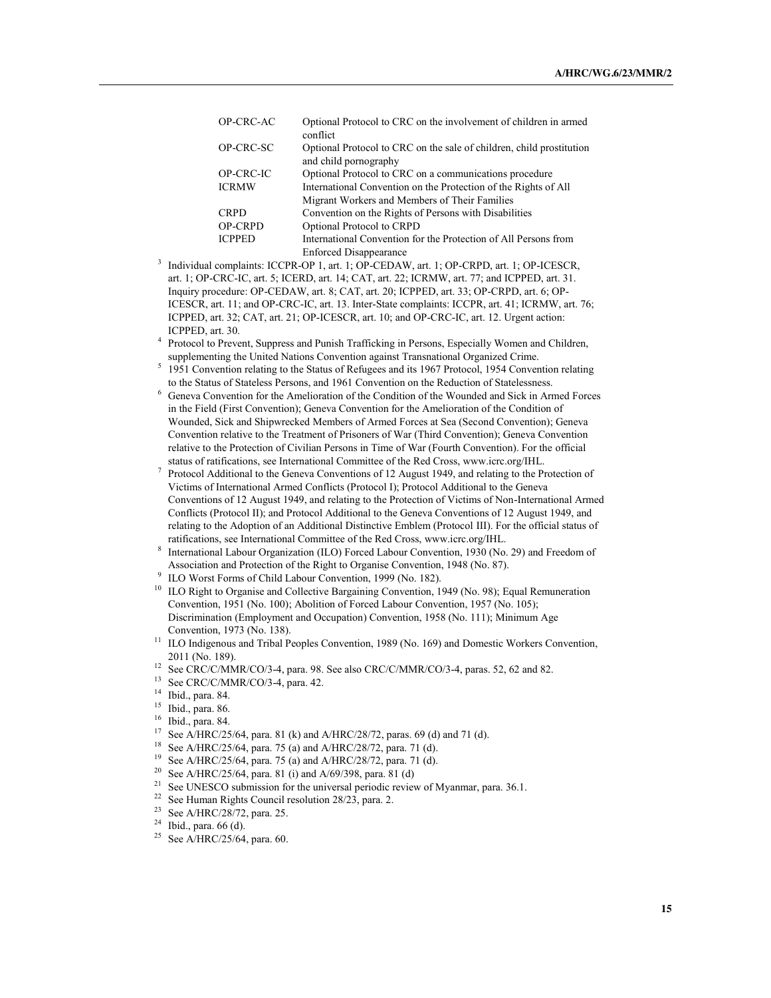| OP-CRC-AC      | Optional Protocol to CRC on the involvement of children in armed<br>conflict                  |
|----------------|-----------------------------------------------------------------------------------------------|
| OP-CRC-SC      | Optional Protocol to CRC on the sale of children, child prostitution<br>and child pornography |
| OP-CRC-IC      | Optional Protocol to CRC on a communications procedure                                        |
| <b>ICRMW</b>   | International Convention on the Protection of the Rights of All                               |
|                | Migrant Workers and Members of Their Families                                                 |
| <b>CRPD</b>    | Convention on the Rights of Persons with Disabilities                                         |
| <b>OP-CRPD</b> | Optional Protocol to CRPD                                                                     |
| <b>ICPPED</b>  | International Convention for the Protection of All Persons from                               |
|                | <b>Enforced Disappearance</b>                                                                 |

<sup>3</sup> Individual complaints: ICCPR-OP 1, art. 1; OP-CEDAW, art. 1; OP-CRPD, art. 1; OP-ICESCR, art. 1; OP-CRC-IC, art. 5; ICERD, art. 14; CAT, art. 22; ICRMW, art. 77; and ICPPED, art. 31. Inquiry procedure: OP-CEDAW, art. 8; CAT, art. 20; ICPPED, art. 33; OP-CRPD, art. 6; OP-ICESCR, art. 11; and OP-CRC-IC, art. 13. Inter-State complaints: ICCPR, art. 41; ICRMW, art. 76; ICPPED, art. 32; CAT, art. 21; OP-ICESCR, art. 10; and OP-CRC-IC, art. 12. Urgent action: ICPPED, art. 30.

<sup>4</sup> Protocol to Prevent, Suppress and Punish Trafficking in Persons, Especially Women and Children, supplementing the United Nations Convention against Transnational Organized Crime.

- <sup>5</sup> 1951 Convention relating to the Status of Refugees and its 1967 Protocol, 1954 Convention relating to the Status of Stateless Persons, and 1961 Convention on the Reduction of Statelessness.
- <sup>6</sup> Geneva Convention for the Amelioration of the Condition of the Wounded and Sick in Armed Forces in the Field (First Convention); Geneva Convention for the Amelioration of the Condition of Wounded, Sick and Shipwrecked Members of Armed Forces at Sea (Second Convention); Geneva Convention relative to the Treatment of Prisoners of War (Third Convention); Geneva Convention relative to the Protection of Civilian Persons in Time of War (Fourth Convention). For the official status of ratifications, see International Committee of the Red Cross, www.icrc.org/IHL.
- <sup>7</sup> Protocol Additional to the Geneva Conventions of 12 August 1949, and relating to the Protection of Victims of International Armed Conflicts (Protocol I); Protocol Additional to the Geneva Conventions of 12 August 1949, and relating to the Protection of Victims of Non-International Armed Conflicts (Protocol II); and Protocol Additional to the Geneva Conventions of 12 August 1949, and relating to the Adoption of an Additional Distinctive Emblem (Protocol III). For the official status of ratifications, see International Committee of the Red Cross, www.icrc.org/IHL.
- <sup>8</sup> International Labour Organization (ILO) Forced Labour Convention, 1930 (No. 29) and Freedom of Association and Protection of the Right to Organise Convention, 1948 (No. 87).
- 
- <sup>9</sup> ILO Worst Forms of Child Labour Convention, 1999 (No. 182).<br><sup>10</sup> ILO Right to Organise and Collective Bargaining Convention, 1949 (No. 98); Equal Remuneration Convention, 1951 (No. 100); Abolition of Forced Labour Convention, 1957 (No. 105); Discrimination (Employment and Occupation) Convention, 1958 (No. 111); Minimum Age Convention, 1973 (No. 138).
- <sup>11</sup> ILO Indigenous and Tribal Peoples Convention, 1989 (No. 169) and Domestic Workers Convention, 2011 (No. 189). 12 See CRC/C/MMR/CO/3-4, para. 98. See also CRC/C/MMR/CO/3-4, paras. 52, 62 and 82.
- 
- <sup>13</sup> See CRC/C/MMR/CO/3-4, para. 42.<br><sup>14</sup> Ibid., para. 84.<br><sup>15</sup> Ibid. para. 86.
- 
- $^{15}$  Ibid., para. 86.
- $^{16}$  Ibid., para. 84.
- <sup>17</sup> See A/HRC/25/64, para. 81 (k) and A/HRC/28/72, paras. 69 (d) and 71 (d).<br><sup>18</sup> See A/HRC/25/64, para. 75 (a) and A/HRC/28/72, para. 71 (d).
- <sup>18</sup> See A/HRC/25/64, para. 75 (a) and A/HRC/28/72, para. 71 (d).<br><sup>19</sup> See A/HRC/25/64, para. 75 (a) and A/HRC/28/72, para. 71 (d).
- See A/HRC/25/64, para. 75 (a) and A/HRC/28/72, para. 71 (d).
- <sup>20</sup> See A/HRC/25/64, para. 81 (i) and A/69/398, para. 81 (d)
- <sup>21</sup> See UNESCO submission for the universal periodic review of Myanmar, para. 36.1.
- <sup>22</sup> See Human Rights Council resolution 28/23, para. 2.
- <sup>23</sup> See A/HRC/28/72, para. 25.
- $24$  Ibid., para. 66 (d).
- <sup>25</sup> See A/HRC/25/64, para. 60.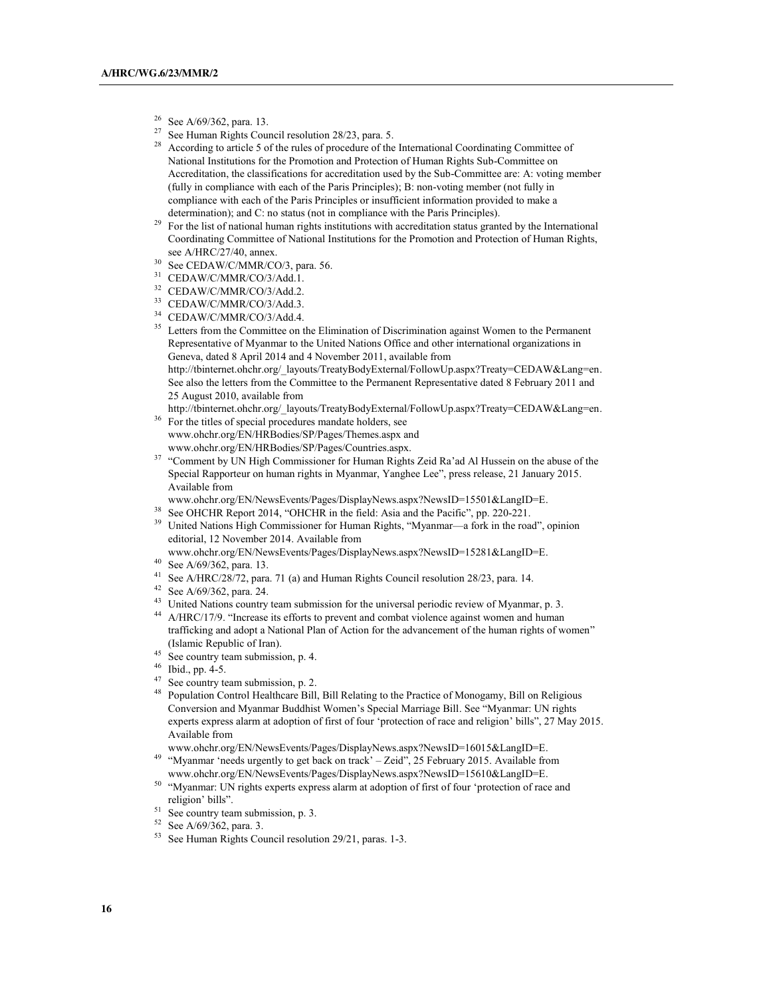- $^{26}$  See A/69/362, para. 13.<br><sup>27</sup> See Human Rights Cour
- See Human Rights Council resolution 28/23, para. 5.
- <sup>28</sup> According to article 5 of the rules of procedure of the International Coordinating Committee of National Institutions for the Promotion and Protection of Human Rights Sub-Committee on Accreditation, the classifications for accreditation used by the Sub-Committee are: A: voting member (fully in compliance with each of the Paris Principles); B: non-voting member (not fully in compliance with each of the Paris Principles or insufficient information provided to make a determination); and C: no status (not in compliance with the Paris Principles).
- <sup>29</sup> For the list of national human rights institutions with accreditation status granted by the International Coordinating Committee of National Institutions for the Promotion and Protection of Human Rights, see A/HRC/27/40, annex.
- <sup>30</sup> See CEDAW/C/MMR/CO/3, para. 56.
- <sup>31</sup> CEDAW/C/MMR/CO/3/Add.1.
- <sup>32</sup> CEDAW/C/MMR/CO/3/Add.2.
- <sup>33</sup> CEDAW/C/MMR/CO/3/Add.3.
- <sup>34</sup> CEDAW/C/MMR/CO/3/Add.4.
- <sup>35</sup> Letters from the Committee on the Elimination of Discrimination against Women to the Permanent Representative of Myanmar to the United Nations Office and other international organizations in Geneva, dated 8 April 2014 and 4 November 2011, available from http://tbinternet.ohchr.org/\_layouts/TreatyBodyExternal/FollowUp.aspx?Treaty=CEDAW&Lang=en. See also the letters from the Committee to the Permanent Representative dated 8 February 2011 and 25 August 2010, available from
- http://tbinternet.ohchr.org/\_layouts/TreatyBodyExternal/FollowUp.aspx?Treaty=CEDAW&Lang=en.
- For the titles of special procedures mandate holders, see www.ohchr.org/EN/HRBodies/SP/Pages/Themes.aspx and www.ohchr.org/EN/HRBodies/SP/Pages/Countries.aspx.
- <sup>37</sup> "Comment by UN High Commissioner for Human Rights Zeid Ra'ad Al Hussein on the abuse of the Special Rapporteur on human rights in Myanmar, Yanghee Lee", press release, 21 January 2015. Available from
- www.ohchr.org/EN/NewsEvents/Pages/DisplayNews.aspx?NewsID=15501&LangID=E.
- See OHCHR Report 2014, "OHCHR in the field: Asia and the Pacific", pp. 220-221.
- <sup>39</sup> United Nations High Commissioner for Human Rights, "Myanmar—a fork in the road", opinion editorial, 12 November 2014. Available from
- www.ohchr.org/EN/NewsEvents/Pages/DisplayNews.aspx?NewsID=15281&LangID=E.<br><sup>40</sup> See A/69/362, para. 13.
- 
- <sup>41</sup> See A/HRC/28/72, para. 71 (a) and Human Rights Council resolution 28/23, para. 14.
- <sup>42</sup> See A/69/362, para. 24.
- <sup>43</sup> United Nations country team submission for the universal periodic review of Myanmar, p. 3.
- <sup>44</sup> A/HRC/17/9. "Increase its efforts to prevent and combat violence against women and human trafficking and adopt a National Plan of Action for the advancement of the human rights of women" (Islamic Republic of Iran).
- <sup>45</sup> See country team submission, p. 4.
- <sup>46</sup> Ibid., pp. 4-5.
- <sup>47</sup> See country team submission, p. 2.
- <sup>48</sup> Population Control Healthcare Bill, Bill Relating to the Practice of Monogamy, Bill on Religious Conversion and Myanmar Buddhist Women's Special Marriage Bill. See "Myanmar: UN rights experts express alarm at adoption of first of four 'protection of race and religion' bills", 27 May 2015. Available from
- www.ohchr.org/EN/NewsEvents/Pages/DisplayNews.aspx?NewsID=16015&LangID=E. <sup>49</sup> "Myanmar 'needs urgently to get back on track' – Zeid", 25 February 2015. Available from
- www.ohchr.org/EN/NewsEvents/Pages/DisplayNews.aspx?NewsID=15610&LangID=E. <sup>50</sup> "Myanmar: UN rights experts express alarm at adoption of first of four 'protection of race and
- religion' bills".
- <sup>51</sup> See country team submission, p. 3.
- <sup>52</sup> See A/69/362, para. 3.
- <sup>53</sup> See Human Rights Council resolution 29/21, paras. 1-3.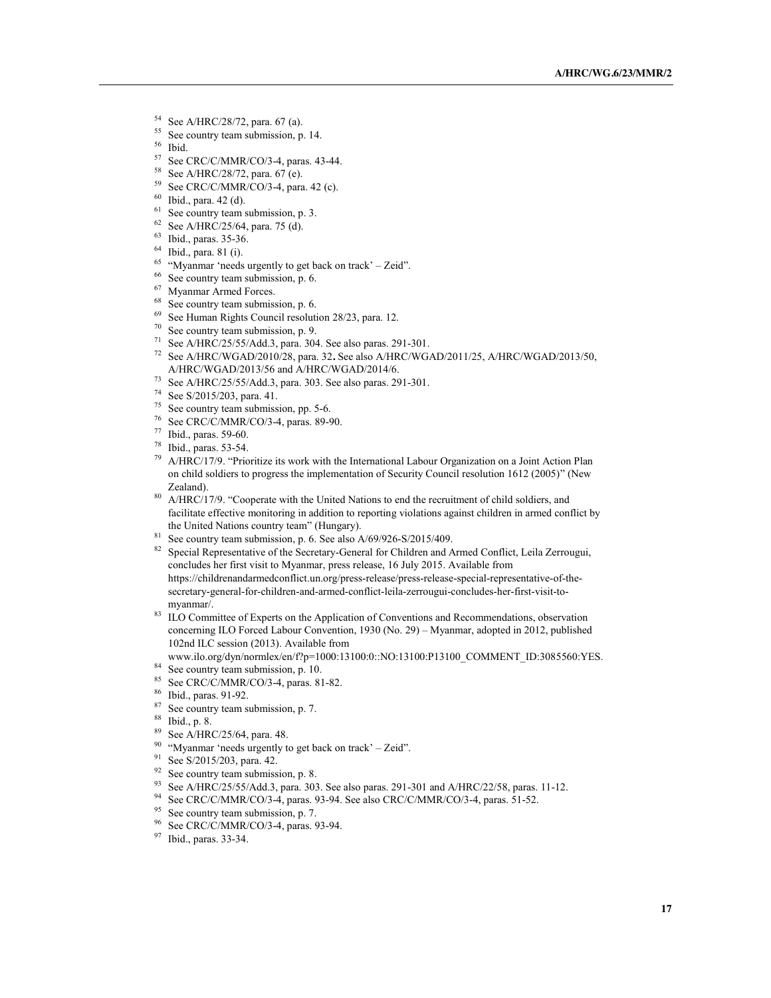- $^{54}$  See A/HRC/28/72, para. 67 (a).
- $^{55}$  See country team submission, p. 14.
- Ibid.
- <sup>57</sup> See CRC/C/MMR/CO/3-4, paras. 43-44.<br><sup>58</sup> See A/HRC/28/72, para. 67 (e).
- 
- <sup>59</sup> See CRC/C/MMR/CO/3-4, para. 42 (c).<br><sup>60</sup> Ibid., para. 42 (d).<br><sup>61</sup> See country team submission, p. 3.
- 
- 
- <sup>62</sup> See A/HRC/25/64, para. 75 (d).
- <sup>63</sup> Ibid., paras. 35-36.
- <sup>64</sup> Ibid., para. 81 (i).
- <sup>65</sup> "Myanmar 'needs urgently to get back on track' Zeid".
- <sup>66</sup> See country team submission, p. 6.
- 
- $<sup>67</sup>$  Myanmar Armed Forces.<br> $<sup>68</sup>$  See country team submission, p. 6.</sup></sup>
- $69$  See Human Rights Council resolution 28/23, para. 12.
- <sup>70</sup> See country team submission, p. 9.
- <sup>71</sup> See A/HRC/25/55/Add.3, para. 304. See also paras. 291-301.
- <sup>72</sup> See A/HRC/WGAD/2010/28, para. 32**.** See also A/HRC/WGAD/2011/25, A/HRC/WGAD/2013/50, A/HRC/WGAD/2013/56 and A/HRC/WGAD/2014/6.
- <sup>73</sup> See A/HRC/25/55/Add.3, para. 303. See also paras. 291-301.
- <sup>74</sup> See S/2015/203, para. 41.
- <sup>75</sup> See country team submission, pp. 5-6.<br><sup>76</sup> See CRC/C/MMR/CO/3 4, paras. 89.0
- <sup>76</sup> See CRC/C/MMR/CO/3-4, paras. 89-90.<br><sup>77</sup> Ibid., paras. 59-60.
- 
- <sup>78</sup> Ibid., paras. 53-54.
- <sup>79</sup> A/HRC/17/9. "Prioritize its work with the International Labour Organization on a Joint Action Plan on child soldiers to progress the implementation of Security Council resolution 1612 (2005)" (New Zealand).
- <sup>80</sup> A/HRC/17/9. "Cooperate with the United Nations to end the recruitment of child soldiers, and facilitate effective monitoring in addition to reporting violations against children in armed conflict by the United Nations country team" (Hungary).
- $81$  See country team submission, p. 6. See also A/69/926-S/2015/409.
- <sup>82</sup> Special Representative of the Secretary-General for Children and Armed Conflict, Leila Zerrougui, concludes her first visit to Myanmar, press release, 16 July 2015. Available from https://childrenandarmedconflict.un.org/press-release/press-release-special-representative-of-thesecretary-general-for-children-and-armed-conflict-leila-zerrougui-concludes-her-first-visit-tomyanmar/.
- <sup>83</sup> ILO Committee of Experts on the Application of Conventions and Recommendations, observation concerning ILO Forced Labour Convention, 1930 (No. 29) – Myanmar, adopted in 2012, published 102nd ILC session (2013). Available from

www.ilo.org/dyn/normlex/en/f?p=1000:13100:0::NO:13100:P13100\_COMMENT\_ID:3085560:YES. <sup>84</sup> See country team submission, p. 10.

- <sup>85</sup> See CRC/C/MMR/CO/3-4, paras. 81-82.
- 
- <sup>86</sup> Ibid., paras. 91-92.
- $^{87}$  See country team submission, p. 7.
- $\frac{88}{89}$  Ibid., p. 8.
- See A/HRC/25/64, para. 48.
- $90$  "Myanmar 'needs urgently to get back on track' Zeid".
- <sup>91</sup> See S/2015/203, para. 42.
- $92$  See country team submission, p. 8.
- <sup>93</sup> See A/HRC/25/55/Add.3, para. 303. See also paras. 291-301 and A/HRC/22/58, paras. 11-12.
- <sup>94</sup> See CRC/C/MMR/CO/3-4, paras. 93-94. See also CRC/C/MMR/CO/3-4, paras. 51-52.
- <sup>95</sup> See country team submission, p. 7.
- <sup>96</sup> See CRC/C/MMR/CO/3-4, paras. 93-94.<br><sup>97</sup> Ibid., paras. 33-34.
-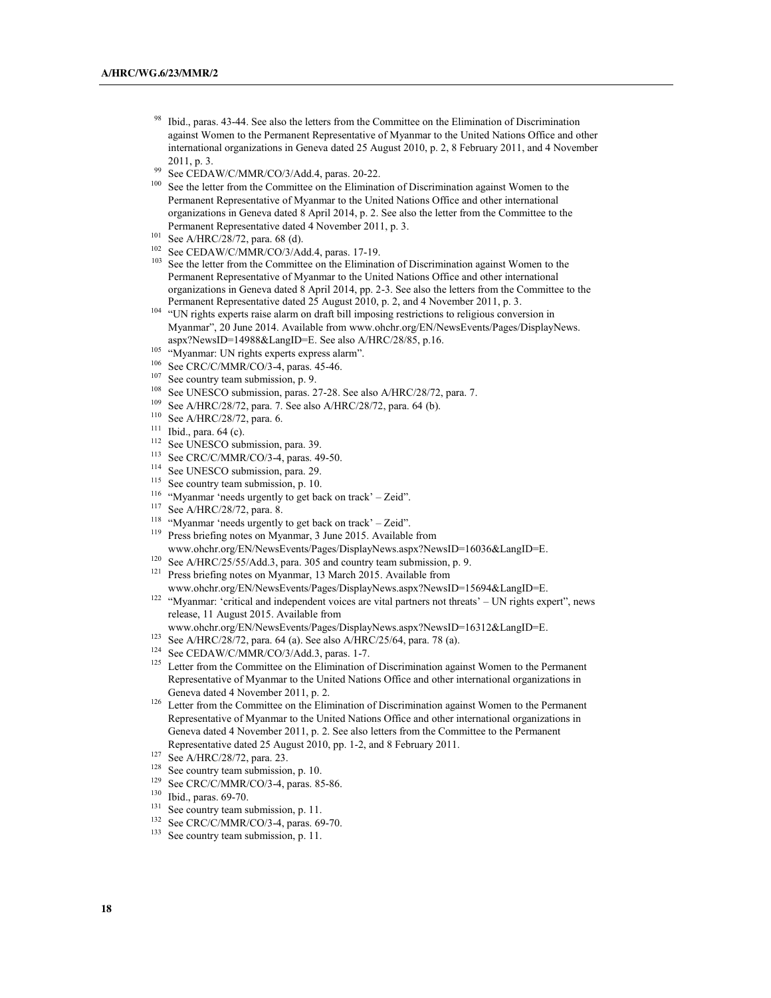- <sup>98</sup> Ibid., paras. 43-44. See also the letters from the Committee on the Elimination of Discrimination against Women to the Permanent Representative of Myanmar to the United Nations Office and other international organizations in Geneva dated 25 August 2010, p. 2, 8 February 2011, and 4 November 2011, p. 3.
- <sup>99</sup> See CEDAW/C/MMR/CO/3/Add.4, paras. 20-22.<br><sup>100</sup> See the letter from the Committee on the Elimination
- See the letter from the Committee on the Elimination of Discrimination against Women to the Permanent Representative of Myanmar to the United Nations Office and other international organizations in Geneva dated 8 April 2014, p. 2. See also the letter from the Committee to the Permanent Representative dated 4 November 2011, p. 3.
- 
- <sup>101</sup> See A/HRC/28/72, para. 68 (d).<br><sup>102</sup> See CEDAW/C/MMR/CO/3/Add.4, paras. 17-19.
- $103$  See the letter from the Committee on the Elimination of Discrimination against Women to the Permanent Representative of Myanmar to the United Nations Office and other international organizations in Geneva dated 8 April 2014, pp. 2-3. See also the letters from the Committee to the Permanent Representative dated 25 August 2010, p. 2, and 4 November 2011, p. 3.
- <sup>104</sup> "UN rights experts raise alarm on draft bill imposing restrictions to religious conversion in Myanmar", 20 June 2014. Available from www.ohchr.org/EN/NewsEvents/Pages/DisplayNews. aspx?NewsID=14988&LangID=E. See also A/HRC/28/85, p.16.
- <sup>105</sup> "Myanmar: UN rights experts express alarm".
- $106$  See CRC/C/MMR/CO/3-4, paras. 45-46.
- See country team submission, p. 9.
- <sup>108</sup> See UNESCO submission, paras. 27-28. See also A/HRC/28/72, para. 7.<br><sup>109</sup> See A/HRC/28/72, para. 7. See also A/HRC/28/72, para. 64/b)
- See A/HRC/28/72, para. 7. See also A/HRC/28/72, para. 64 (b).
- <sup>110</sup> See A/HRC/28/72, para. 6.
- $^{111}$  Ibid., para. 64 (c).
- <sup>112</sup> See UNESCO submission, para. 39.<br><sup>113</sup> See CBC/C/MMB/CO/2.4, paras. 4
- $^{113}$  See CRC/C/MMR/CO/3-4, paras. 49-50.
- <sup>114</sup> See UNESCO submission, para. 29.<br> $\frac{115}{115}$  See country toom submission n 10.
- See country team submission, p. 10.
- <sup>116</sup> "Myanmar 'needs urgently to get back on track' Zeid".<br><sup>117</sup> See A (UDC/29/72, new  $\frac{8}{3}$
- See A/HRC/28/72, para. 8.
- <sup>118</sup> "Myanmar 'needs urgently to get back on track' Zeid".<br><sup>119</sup> Proce briefing notes on Myanmar,  $\frac{3}{2}$  June 2015, Available
- Press briefing notes on Myanmar, 3 June 2015. Available from
- www.ohchr.org/EN/NewsEvents/Pages/DisplayNews.aspx?NewsID=16036&LangID=E.
- <sup>120</sup> See A/HRC/25/55/Add.3, para. 305 and country team submission, p. 9.<br><sup>121</sup> Press briefing notes on Museuman 13 Marsh 2015, Applichly from Press briefing notes on Myanmar, 13 March 2015. Available from
- www.ohchr.org/EN/NewsEvents/Pages/DisplayNews.aspx?NewsID=15694&LangID=E.
- <sup>122</sup> "Myanmar: 'critical and independent voices are vital partners not threats' UN rights expert", news release, 11 August 2015. Available from
- www.ohchr.org/EN/NewsEvents/Pages/DisplayNews.aspx?NewsID=16312&LangID=E.
- <sup>123</sup> See A/HRC/28/72, para. 64 (a). See also A/HRC/25/64, para. 78 (a).
- <sup>124</sup> See CEDAW/C/MMR/CO/3/Add.3, paras. 1-7.<br><sup>125</sup> Letter from the Committee on the Elimination of
- Letter from the Committee on the Elimination of Discrimination against Women to the Permanent Representative of Myanmar to the United Nations Office and other international organizations in Geneva dated 4 November 2011, p. 2.
- <sup>126</sup> Letter from the Committee on the Elimination of Discrimination against Women to the Permanent Representative of Myanmar to the United Nations Office and other international organizations in Geneva dated 4 November 2011, p. 2. See also letters from the Committee to the Permanent Representative dated 25 August 2010, pp. 1-2, and 8 February 2011.
- <sup>127</sup> See A/HRC/28/72, para. 23.
- <sup>128</sup> See country team submission, p. 10.
- <sup>129</sup> See CRC/C/MMR/CO/3-4, paras. 85-86.<br><sup>130</sup> Ibid. paras. 60.70
- $\frac{130}{131}$  Ibid., paras. 69-70.
- See country team submission, p. 11.
- $132$  See CRC/C/MMR/CO/3-4, paras. 69-70.
- See country team submission, p. 11.